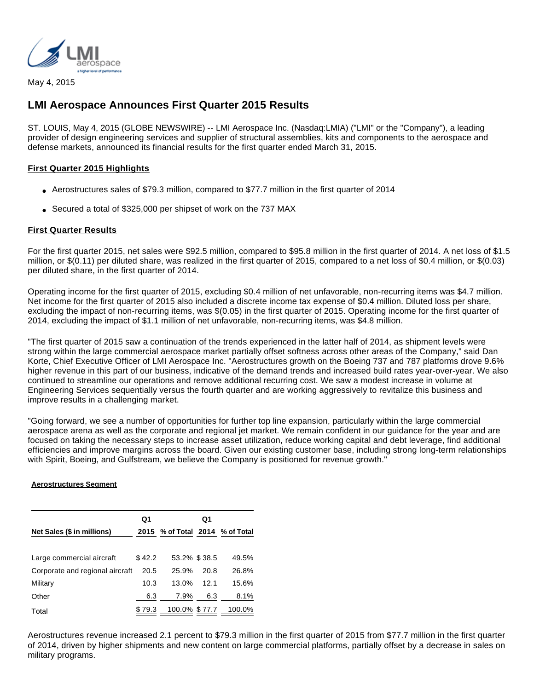

May 4, 2015

# **LMI Aerospace Announces First Quarter 2015 Results**

ST. LOUIS, May 4, 2015 (GLOBE NEWSWIRE) -- LMI Aerospace Inc. (Nasdaq:LMIA) ("LMI" or the "Company"), a leading provider of design engineering services and supplier of structural assemblies, kits and components to the aerospace and defense markets, announced its financial results for the first quarter ended March 31, 2015.

## **First Quarter 2015 Highlights**

- Aerostructures sales of \$79.3 million, compared to \$77.7 million in the first quarter of 2014
- Secured a total of \$325,000 per shipset of work on the 737 MAX

## **First Quarter Results**

For the first quarter 2015, net sales were \$92.5 million, compared to \$95.8 million in the first quarter of 2014. A net loss of \$1.5 million, or \$(0.11) per diluted share, was realized in the first quarter of 2015, compared to a net loss of \$0.4 million, or \$(0.03) per diluted share, in the first quarter of 2014.

Operating income for the first quarter of 2015, excluding \$0.4 million of net unfavorable, non-recurring items was \$4.7 million. Net income for the first quarter of 2015 also included a discrete income tax expense of \$0.4 million. Diluted loss per share, excluding the impact of non-recurring items, was \$(0.05) in the first quarter of 2015. Operating income for the first quarter of 2014, excluding the impact of \$1.1 million of net unfavorable, non-recurring items, was \$4.8 million.

"The first quarter of 2015 saw a continuation of the trends experienced in the latter half of 2014, as shipment levels were strong within the large commercial aerospace market partially offset softness across other areas of the Company," said Dan Korte, Chief Executive Officer of LMI Aerospace Inc. "Aerostructures growth on the Boeing 737 and 787 platforms drove 9.6% higher revenue in this part of our business, indicative of the demand trends and increased build rates year-over-year. We also continued to streamline our operations and remove additional recurring cost. We saw a modest increase in volume at Engineering Services sequentially versus the fourth quarter and are working aggressively to revitalize this business and improve results in a challenging market.

"Going forward, we see a number of opportunities for further top line expansion, particularly within the large commercial aerospace arena as well as the corporate and regional jet market. We remain confident in our guidance for the year and are focused on taking the necessary steps to increase asset utilization, reduce working capital and debt leverage, find additional efficiencies and improve margins across the board. Given our existing customer base, including strong long-term relationships with Spirit, Boeing, and Gulfstream, we believe the Company is positioned for revenue growth."

#### **Aerostructures Segment**

|                                 | Q1     |                                 | Q1   |        |
|---------------------------------|--------|---------------------------------|------|--------|
| Net Sales (\$ in millions)      |        | 2015 % of Total 2014 % of Total |      |        |
| Large commercial aircraft       | \$42.2 | 53.2% \$38.5                    |      | 49.5%  |
| Corporate and regional aircraft | 20.5   | 25.9%                           | 20.8 | 26.8%  |
| Military                        | 10.3   | 13.0%                           | 12.1 | 15.6%  |
| Other                           | 6.3    | 7.9%                            | 6.3  | 8.1%   |
| Total                           | \$79.3 | 100.0% \$77.7                   |      | 100.0% |

Aerostructures revenue increased 2.1 percent to \$79.3 million in the first quarter of 2015 from \$77.7 million in the first quarter of 2014, driven by higher shipments and new content on large commercial platforms, partially offset by a decrease in sales on military programs.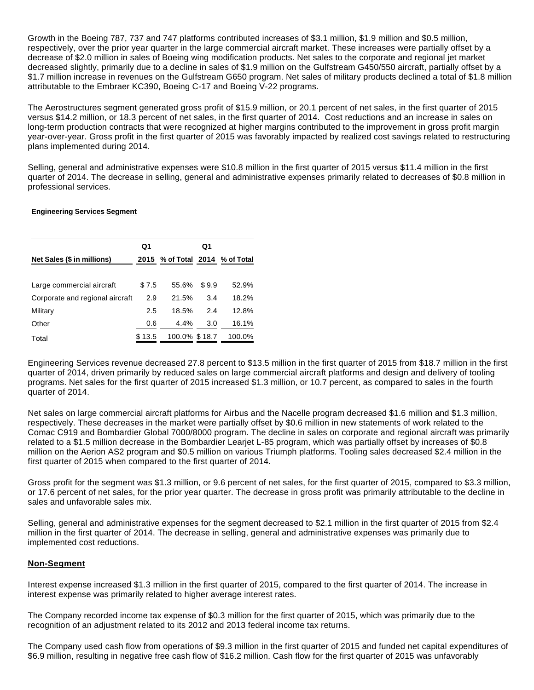Growth in the Boeing 787, 737 and 747 platforms contributed increases of \$3.1 million, \$1.9 million and \$0.5 million, respectively, over the prior year quarter in the large commercial aircraft market. These increases were partially offset by a decrease of \$2.0 million in sales of Boeing wing modification products. Net sales to the corporate and regional jet market decreased slightly, primarily due to a decline in sales of \$1.9 million on the Gulfstream G450/550 aircraft, partially offset by a \$1.7 million increase in revenues on the Gulfstream G650 program. Net sales of military products declined a total of \$1.8 million attributable to the Embraer KC390, Boeing C-17 and Boeing V-22 programs.

The Aerostructures segment generated gross profit of \$15.9 million, or 20.1 percent of net sales, in the first quarter of 2015 versus \$14.2 million, or 18.3 percent of net sales, in the first quarter of 2014. Cost reductions and an increase in sales on long-term production contracts that were recognized at higher margins contributed to the improvement in gross profit margin year-over-year. Gross profit in the first quarter of 2015 was favorably impacted by realized cost savings related to restructuring plans implemented during 2014.

Selling, general and administrative expenses were \$10.8 million in the first quarter of 2015 versus \$11.4 million in the first quarter of 2014. The decrease in selling, general and administrative expenses primarily related to decreases of \$0.8 million in professional services.

#### **Engineering Services Segment**

|                                 | Q1     |                                 | Q1    |        |
|---------------------------------|--------|---------------------------------|-------|--------|
| Net Sales (\$ in millions)      |        | 2015 % of Total 2014 % of Total |       |        |
| Large commercial aircraft       | \$7.5  | 55.6%                           | \$9.9 | 52.9%  |
| Corporate and regional aircraft | 2.9    | 21.5%                           | 3.4   | 18.2%  |
| Military                        | 2.5    | 18.5%                           | 2.4   | 12.8%  |
| Other                           | 0.6    | 4.4%                            | 3.0   | 16.1%  |
| Total                           | \$13.5 | 100.0% \$18.7                   |       | 100.0% |

Engineering Services revenue decreased 27.8 percent to \$13.5 million in the first quarter of 2015 from \$18.7 million in the first quarter of 2014, driven primarily by reduced sales on large commercial aircraft platforms and design and delivery of tooling programs. Net sales for the first quarter of 2015 increased \$1.3 million, or 10.7 percent, as compared to sales in the fourth quarter of 2014.

Net sales on large commercial aircraft platforms for Airbus and the Nacelle program decreased \$1.6 million and \$1.3 million, respectively. These decreases in the market were partially offset by \$0.6 million in new statements of work related to the Comac C919 and Bombardier Global 7000/8000 program. The decline in sales on corporate and regional aircraft was primarily related to a \$1.5 million decrease in the Bombardier Learjet L-85 program, which was partially offset by increases of \$0.8 million on the Aerion AS2 program and \$0.5 million on various Triumph platforms. Tooling sales decreased \$2.4 million in the first quarter of 2015 when compared to the first quarter of 2014.

Gross profit for the segment was \$1.3 million, or 9.6 percent of net sales, for the first quarter of 2015, compared to \$3.3 million, or 17.6 percent of net sales, for the prior year quarter. The decrease in gross profit was primarily attributable to the decline in sales and unfavorable sales mix.

Selling, general and administrative expenses for the segment decreased to \$2.1 million in the first quarter of 2015 from \$2.4 million in the first quarter of 2014. The decrease in selling, general and administrative expenses was primarily due to implemented cost reductions.

#### **Non-Segment**

Interest expense increased \$1.3 million in the first quarter of 2015, compared to the first quarter of 2014. The increase in interest expense was primarily related to higher average interest rates.

The Company recorded income tax expense of \$0.3 million for the first quarter of 2015, which was primarily due to the recognition of an adjustment related to its 2012 and 2013 federal income tax returns.

The Company used cash flow from operations of \$9.3 million in the first quarter of 2015 and funded net capital expenditures of \$6.9 million, resulting in negative free cash flow of \$16.2 million. Cash flow for the first quarter of 2015 was unfavorably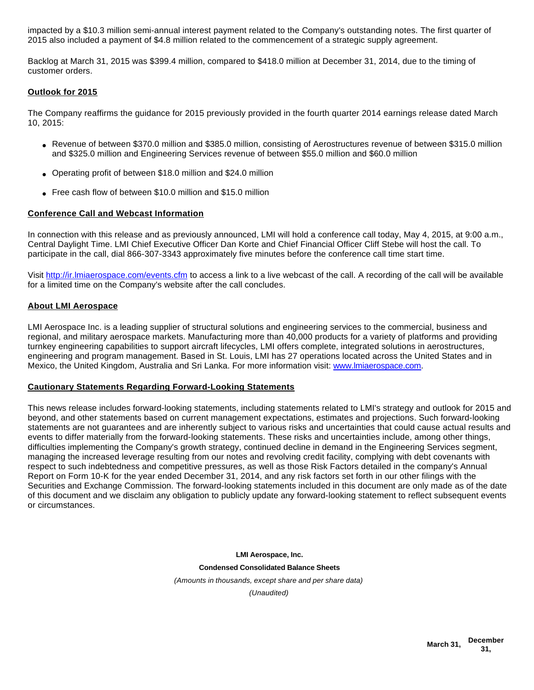impacted by a \$10.3 million semi-annual interest payment related to the Company's outstanding notes. The first quarter of 2015 also included a payment of \$4.8 million related to the commencement of a strategic supply agreement.

Backlog at March 31, 2015 was \$399.4 million, compared to \$418.0 million at December 31, 2014, due to the timing of customer orders.

## **Outlook for 2015**

The Company reaffirms the guidance for 2015 previously provided in the fourth quarter 2014 earnings release dated March 10, 2015:

- Revenue of between \$370.0 million and \$385.0 million, consisting of Aerostructures revenue of between \$315.0 million and \$325.0 million and Engineering Services revenue of between \$55.0 million and \$60.0 million
- Operating profit of between \$18.0 million and \$24.0 million
- Free cash flow of between \$10.0 million and \$15.0 million

## **Conference Call and Webcast Information**

In connection with this release and as previously announced, LMI will hold a conference call today, May 4, 2015, at 9:00 a.m., Central Daylight Time. LMI Chief Executive Officer Dan Korte and Chief Financial Officer Cliff Stebe will host the call. To participate in the call, dial 866-307-3343 approximately five minutes before the conference call time start time.

Visit [http://ir.lmiaerospace.com/events.cfm](http://www.globenewswire.com/newsroom/ctr?d=10132223&l=25&u=http%3A%2F%2Fir.lmiaerospace.com%2Fevents.cfm) to access a link to a live webcast of the call. A recording of the call will be available for a limited time on the Company's website after the call concludes.

#### **About LMI Aerospace**

LMI Aerospace Inc. is a leading supplier of structural solutions and engineering services to the commercial, business and regional, and military aerospace markets. Manufacturing more than 40,000 products for a variety of platforms and providing turnkey engineering capabilities to support aircraft lifecycles, LMI offers complete, integrated solutions in aerostructures, engineering and program management. Based in St. Louis, LMI has 27 operations located across the United States and in Mexico, the United Kingdom, Australia and Sri Lanka. For more information visit: [www.lmiaerospace.com.](http://www.globenewswire.com/newsroom/ctr?d=10132223&l=27&a=www.lmiaerospace.com&u=http%3A%2F%2Fwww.lmiaerospace.com%2F)

#### **Cautionary Statements Regarding Forward-Looking Statements**

This news release includes forward-looking statements, including statements related to LMI's strategy and outlook for 2015 and beyond, and other statements based on current management expectations, estimates and projections. Such forward-looking statements are not guarantees and are inherently subject to various risks and uncertainties that could cause actual results and events to differ materially from the forward-looking statements. These risks and uncertainties include, among other things, difficulties implementing the Company's growth strategy, continued decline in demand in the Engineering Services segment, managing the increased leverage resulting from our notes and revolving credit facility, complying with debt covenants with respect to such indebtedness and competitive pressures, as well as those Risk Factors detailed in the company's Annual Report on Form 10-K for the year ended December 31, 2014, and any risk factors set forth in our other filings with the Securities and Exchange Commission. The forward-looking statements included in this document are only made as of the date of this document and we disclaim any obligation to publicly update any forward-looking statement to reflect subsequent events or circumstances.

> **LMI Aerospace, Inc. Condensed Consolidated Balance Sheets** (Amounts in thousands, except share and per share data) (Unaudited)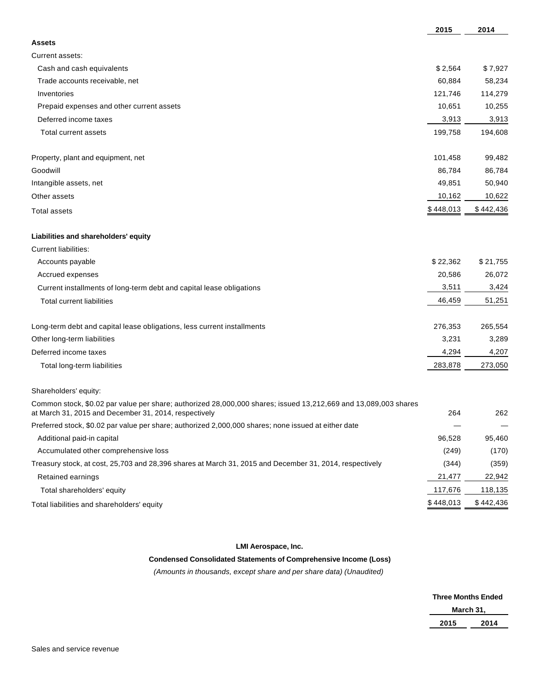|                                                                                                                                                                          | 2015      | 2014      |
|--------------------------------------------------------------------------------------------------------------------------------------------------------------------------|-----------|-----------|
| <b>Assets</b>                                                                                                                                                            |           |           |
| Current assets:                                                                                                                                                          |           |           |
| Cash and cash equivalents                                                                                                                                                | \$2,564   | \$7,927   |
| Trade accounts receivable, net                                                                                                                                           | 60,884    | 58,234    |
| Inventories                                                                                                                                                              | 121,746   | 114,279   |
| Prepaid expenses and other current assets                                                                                                                                | 10,651    | 10,255    |
| Deferred income taxes                                                                                                                                                    | 3,913     | 3,913     |
| Total current assets                                                                                                                                                     | 199,758   | 194,608   |
| Property, plant and equipment, net                                                                                                                                       | 101,458   | 99,482    |
| Goodwill                                                                                                                                                                 | 86,784    | 86,784    |
| Intangible assets, net                                                                                                                                                   | 49,851    | 50,940    |
| Other assets                                                                                                                                                             | 10,162    | 10,622    |
| <b>Total assets</b>                                                                                                                                                      | \$448,013 | \$442,436 |
| Liabilities and shareholders' equity                                                                                                                                     |           |           |
| <b>Current liabilities:</b>                                                                                                                                              |           |           |
| Accounts payable                                                                                                                                                         | \$22,362  | \$21,755  |
| Accrued expenses                                                                                                                                                         | 20,586    | 26,072    |
| Current installments of long-term debt and capital lease obligations                                                                                                     | 3,511     | 3,424     |
| <b>Total current liabilities</b>                                                                                                                                         | 46,459    | 51,251    |
| Long-term debt and capital lease obligations, less current installments                                                                                                  | 276,353   | 265,554   |
| Other long-term liabilities                                                                                                                                              | 3,231     | 3,289     |
| Deferred income taxes                                                                                                                                                    | 4,294     | 4,207     |
| Total long-term liabilities                                                                                                                                              | 283,878   | 273,050   |
| Shareholders' equity:                                                                                                                                                    |           |           |
| Common stock, \$0.02 par value per share; authorized 28,000,000 shares; issued 13,212,669 and 13,089,003 shares<br>at March 31, 2015 and December 31, 2014, respectively | 264       | 262       |
| Preferred stock, \$0.02 par value per share; authorized 2,000,000 shares; none issued at either date                                                                     |           |           |
| Additional paid-in capital                                                                                                                                               | 96,528    | 95,460    |
| Accumulated other comprehensive loss                                                                                                                                     | (249)     | (170)     |
| Treasury stock, at cost, 25,703 and 28,396 shares at March 31, 2015 and December 31, 2014, respectively                                                                  | (344)     | (359)     |
| Retained earnings                                                                                                                                                        | 21,477    | 22,942    |
| Total shareholders' equity                                                                                                                                               | 117,676   | 118,135   |
| Total liabilities and shareholders' equity                                                                                                                               | \$448,013 | \$442,436 |

## **LMI Aerospace, Inc.**

## **Condensed Consolidated Statements of Comprehensive Income (Loss)**

(Amounts in thousands, except share and per share data) (Unaudited)

|      | <b>Three Months Ended</b> |
|------|---------------------------|
|      | March 31,                 |
| 2015 | 2014                      |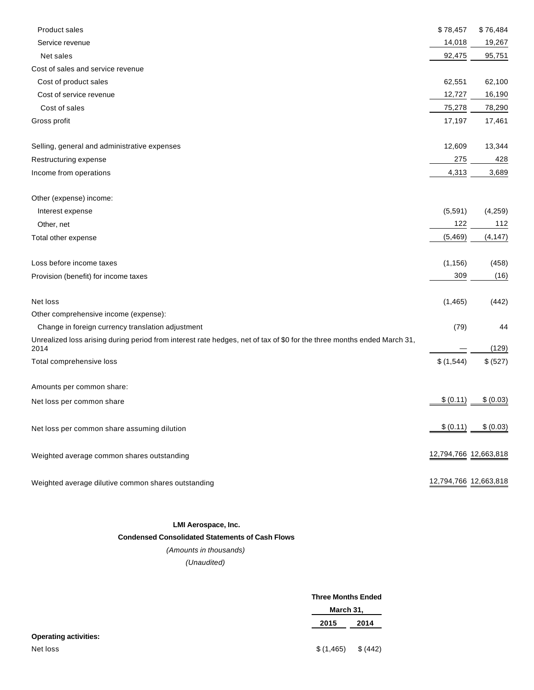| <b>Product sales</b>                                                                                                            | \$78,457              | \$76,484  |
|---------------------------------------------------------------------------------------------------------------------------------|-----------------------|-----------|
| Service revenue                                                                                                                 | 14,018                | 19,267    |
| Net sales                                                                                                                       | 92,475                | 95,751    |
| Cost of sales and service revenue                                                                                               |                       |           |
| Cost of product sales                                                                                                           | 62,551                | 62,100    |
| Cost of service revenue                                                                                                         | 12,727                | 16,190    |
| Cost of sales                                                                                                                   | 75,278                | 78,290    |
| Gross profit                                                                                                                    | 17,197                | 17,461    |
| Selling, general and administrative expenses                                                                                    | 12,609                | 13,344    |
| Restructuring expense                                                                                                           | 275                   | 428       |
| Income from operations                                                                                                          | 4,313                 | 3,689     |
| Other (expense) income:                                                                                                         |                       |           |
| Interest expense                                                                                                                | (5,591)               | (4, 259)  |
| Other, net                                                                                                                      | 122                   | 112       |
| Total other expense                                                                                                             | (5,469)               | (4, 147)  |
| Loss before income taxes                                                                                                        | (1, 156)              | (458)     |
| Provision (benefit) for income taxes                                                                                            | 309                   | (16)      |
| Net loss                                                                                                                        | (1, 465)              | (442)     |
| Other comprehensive income (expense):                                                                                           |                       |           |
| Change in foreign currency translation adjustment                                                                               | (79)                  | 44        |
| Unrealized loss arising during period from interest rate hedges, net of tax of \$0 for the three months ended March 31,<br>2014 |                       | (129)     |
| Total comprehensive loss                                                                                                        | \$(1,544)             | \$ (527)  |
| Amounts per common share:                                                                                                       |                       |           |
| Net loss per common share                                                                                                       | \$ (0.11)             | \$ (0.03) |
| Net loss per common share assuming dilution                                                                                     | \$ (0.11)             | \$ (0.03) |
| Weighted average common shares outstanding                                                                                      | 12,794,766 12,663,818 |           |
| Weighted average dilutive common shares outstanding                                                                             | 12,794,766 12,663,818 |           |

#### **LMI Aerospace, Inc.**

#### **Condensed Consolidated Statements of Cash Flows**

(Amounts in thousands)

(Unaudited)

|                              | <b>Three Months Ended</b> |          |
|------------------------------|---------------------------|----------|
|                              | March 31,                 |          |
|                              | 2015                      | 2014     |
| <b>Operating activities:</b> |                           |          |
| Net loss                     | \$(1,465)                 | \$ (442) |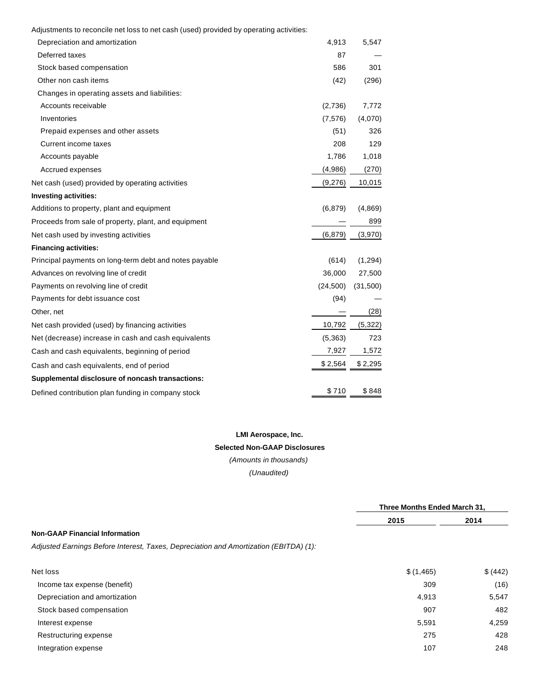| Adjustments to reconcile net loss to net cash (used) provided by operating activities: |  |  |  |  |  |
|----------------------------------------------------------------------------------------|--|--|--|--|--|
|----------------------------------------------------------------------------------------|--|--|--|--|--|

| Depreciation and amortization                          | 4,913     | 5,547    |
|--------------------------------------------------------|-----------|----------|
| Deferred taxes                                         | 87        |          |
| Stock based compensation                               | 586       | 301      |
| Other non cash items                                   | (42)      | (296)    |
| Changes in operating assets and liabilities:           |           |          |
| Accounts receivable                                    | (2,736)   | 7,772    |
| Inventories                                            | (7, 576)  | (4,070)  |
| Prepaid expenses and other assets                      | (51)      | 326      |
| Current income taxes                                   | 208       | 129      |
| Accounts payable                                       | 1,786     | 1,018    |
| Accrued expenses                                       | (4,986)   | (270)    |
| Net cash (used) provided by operating activities       | (9,276)   | 10,015   |
| <b>Investing activities:</b>                           |           |          |
| Additions to property, plant and equipment             | (6, 879)  | (4,869)  |
| Proceeds from sale of property, plant, and equipment   |           | 899      |
| Net cash used by investing activities                  | (6, 879)  | (3,970)  |
| <b>Financing activities:</b>                           |           |          |
| Principal payments on long-term debt and notes payable | (614)     | (1, 294) |
| Advances on revolving line of credit                   | 36,000    | 27,500   |
| Payments on revolving line of credit                   | (24, 500) | (31,500) |
| Payments for debt issuance cost                        | (94)      |          |
| Other, net                                             |           | (28)     |
| Net cash provided (used) by financing activities       | 10,792    | (5, 322) |
| Net (decrease) increase in cash and cash equivalents   | (5,363)   | 723      |
| Cash and cash equivalents, beginning of period         | 7,927     | 1,572    |
| Cash and cash equivalents, end of period               | \$2,564   | \$2,295  |
| Supplemental disclosure of noncash transactions:       |           |          |
| Defined contribution plan funding in company stock     | \$710     | \$848    |
|                                                        |           |          |

# **LMI Aerospace, Inc. Selected Non-GAAP Disclosures**

(Amounts in thousands) (Unaudited)

|                                                                                       | Three Months Ended March 31, |          |
|---------------------------------------------------------------------------------------|------------------------------|----------|
|                                                                                       | 2015                         | 2014     |
| <b>Non-GAAP Financial Information</b>                                                 |                              |          |
| Adjusted Earnings Before Interest, Taxes, Depreciation and Amortization (EBITDA) (1): |                              |          |
| Net loss                                                                              | \$(1,465)                    | \$ (442) |
| Income tax expense (benefit)                                                          | 309                          | (16)     |
| Depreciation and amortization                                                         | 4,913                        | 5,547    |
| Stock based compensation                                                              | 907                          | 482      |
| Interest expense                                                                      | 5,591                        | 4,259    |
| Restructuring expense                                                                 | 275                          | 428      |
| Integration expense                                                                   | 107                          | 248      |
|                                                                                       |                              |          |